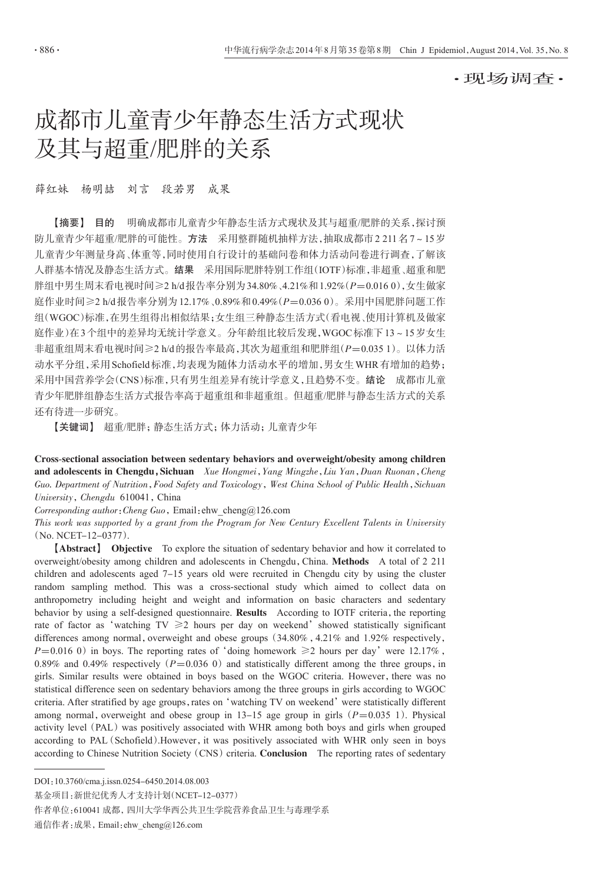·现场调查·

# 成都市儿童青少年静态生活方式现状 及其与超重/肥胖的关系

薛红妹 杨明喆 刘言 段若男 成果

【摘要】 目的 明确成都市儿童青少年静态生活方式现状及其与超重/肥胖的关系,探讨预 防儿童青少年超重/肥胖的可能性。方法 采用整群随机抽样方法,抽取成都市2 211名7~15岁 儿童青少年测量身高、体重等,同时使用自行设计的基础问卷和体力活动问卷进行调查,了解该 人群基本情况及静态生活方式。结果 采用国际肥胖特别工作组(IOTF)标准,非超重、超重和肥 胖组中男生周末看电视时间≥2 h/d报告率分别为34.80%、4.21%和1.92%(P=0.016 0),女生做家 庭作业时间≥2 h/d报告率分别为12.17%、0.89%和0.49%(P=0.036 0)。采用中国肥胖问题工作 组(WGOC)标准,在男生组得出相似结果;女生组三种静态生活方式(看电视、使用计算机及做家 庭作业)在3个组中的差异均无统计学意义。分年龄组比较后发现,WGOC标准下13~15岁女生 非超重组周末看电视时间≥2 h/d的报告率最高,其次为超重组和肥胖组(P=0.035 1)。以体力活 动水平分组,采用Schofield标准,均表现为随体力活动水平的增加,男女生WHR有增加的趋势; 采用中国营养学会(CNS)标准,只有男生组差异有统计学意义,且趋势不变。结论 成都市儿童 青少年肥胖组静态生活方式报告率高于超重组和非超重组。但超重/肥胖与静态生活方式的关系 还有待进一步研究。

【关键词】 超重/肥胖;静态生活方式;体力活动;儿童青少年

Cross-sectional association between sedentary behaviors and overweight/obesity among children and adolescents in Chengdu, Sichuan Xue Hongmei, Yang Mingzhe, Liu Yan, Duan Ruonan, Cheng Guo. Department of Nutrition, Food Safety and Toxicology, West China School of Public Health, Sichuan University, Chengdu 610041, China

Corresponding author: Cheng Guo, Email: ehw\_cheng@126.com

This work was supported by a grant from the Program for New Century Excellent Talents in University (No. NCET-12-0377).

【Abstract】 Objective To explore the situation of sedentary behavior and how it correlated to overweight/obesity among children and adolescents in Chengdu,China. Methods A total of 2 211 children and adolescents aged 7-15 years old were recruited in Chengdu city by using the cluster random sampling method. This was a cross-sectional study which aimed to collect data on anthropometry including height and weight and information on basic characters and sedentary behavior by using a self-designed questionnaire. Results According to IOTF criteria, the reporting rate of factor as 'watching TV  $\geq 2$  hours per day on weekend' showed statistically significant differences among normal, overweight and obese groups (34.80%, 4.21% and 1.92% respectively,  $P=0.016$  0) in boys. The reporting rates of 'doing homework  $\geq 2$  hours per day' were 12.17%, 0.89% and 0.49% respectively ( $P=0.036$  0) and statistically different among the three groups, in girls. Similar results were obtained in boys based on the WGOC criteria. However, there was no statistical difference seen on sedentary behaviors among the three groups in girls according to WGOC criteria. After stratified by age groups, rates on 'watching TV on weekend' were statistically different among normal, overweight and obese group in 13-15 age group in girls ( $P=0.035$  1). Physical activity level (PAL) was positively associated with WHR among both boys and girls when grouped according to PAL (Schofield). However, it was positively associated with WHR only seen in boys according to Chinese Nutrition Society (CNS) criteria. Conclusion The reporting rates of sedentary

基金项目:新世纪优秀人才支持计划(NCET-12-0377)

作者单位:610041 成都,四川大学华西公共卫生学院营养食品卫生与毒理学系

通信作者:成果,Email:ehw\_cheng@126.com

DOI:10.3760/cma.j.issn.0254-6450.2014.08.003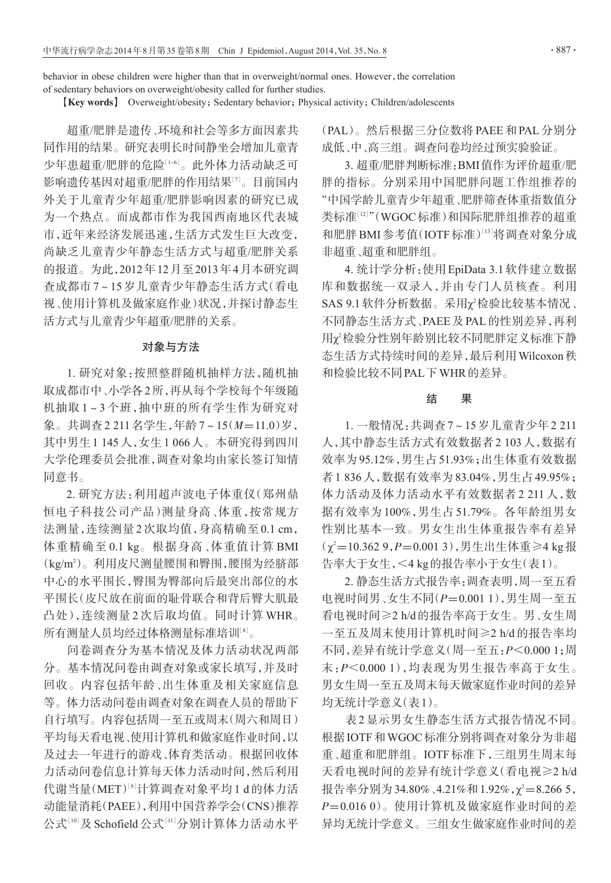behavior in obese children were higher than that in overweight/normal ones. However, the correlation of sedentary behaviors on overweight/obesity called for further studies.

**[Key words]** Overweight/obesity; Sedentary behavior; Physical activity; Children/adolescents

超重/肥胖是遗传、环境和社会等多方面因素共 同作用的结果。研究表明长时间静坐会增加儿童青 少年患超重/肥胖的危险[1-6]。此外体力活动缺乏可 影响遗传基因对超重/肥胖的作用结果[<sup>7</sup>] 。目前国内 外关于儿童青少年超重/肥胖影响因素的研究已成 为一个热点。而成都市作为我国西南地区代表城 市,近年来经济发展迅速,生活方式发生巨大改变, 尚缺乏儿童青少年静态生活方式与超重/肥胖关系 的报道。为此,2012年12月至2013年4月本研究调 查成都市 7~15 岁儿童青少年静态生活方式(看电 视、使用计算机及做家庭作业)状况,并探讨静态生 活方式与儿童青少年超重/肥胖的关系。

### 对象与方法

1. 研究对象:按照整群随机抽样方法,随机抽 取成都市中、小学各2所,再从每个学校每个年级随 机抽取 1~3 个班,抽中班的所有学生作为研究对 象。共调查2 211名学生,年龄7~15(M=11.0)岁, 其中男生1 145人,女生1 066人。本研究得到四川 大学伦理委员会批准,调查对象均由家长签订知情 同意书。

2. 研究方法:利用超声波电子体重仪(郑州鼎 恒电子科技公司产品)测量身高、体重,按常规方 法测量,连续测量 2 次取均值,身高精确至 0.1 cm, 体重精确至 0.1 kg。根据身高、体重值计算 BMI (kg/m2 )。利用皮尺测量腰围和臀围,腰围为经脐部 中心的水平围长,臀围为臀部向后最突出部位的水 平围长(皮尺放在前面的耻骨联合和背后臀大肌最 凸处),连续测量 2 次后取均值。同时计算 WHR。 所有测量人员均经过体格测量标准培训[<sup>8</sup>] 。

问卷调查分为基本情况及体力活动状况两部 分。基本情况问卷由调查对象或家长填写,并及时 回收。内容包括年龄、出生体重及相关家庭信息 等。体力活动问卷由调查对象在调查人员的帮助下 自行填写。内容包括周一至五或周末(周六和周日) 平均每天看电视、使用计算机和做家庭作业时间,以 及过去一年进行的游戏、体育类活动。根据回收体 力活动问卷信息计算每天体力活动时间,然后利用 代谢当量(MET)<sup>[9]</sup>计算调查对象平均1d的体力活 动能量消耗(PAEE),利用中国营养学会(CNS)推荐 公式[10]及 Schofield公式[11]分别计算体力活动水平 (PAL)。然后根据三分位数将PAEE和PAL分别分 成低、中、高三组。调查问卷均经过预实验验证。

3. 超重/肥胖判断标准:BMI值作为评价超重/肥 胖的指标。分别采用中国肥胖问题工作组推荐的 "中国学龄儿童青少年超重、肥胖筛查体重指数值分 类标准『『2』"(WGOC标准)和国际肥胖组推荐的超重 和肥胖 BMI 参考值(IOTF 标准)[13]将调查对象分成 非超重、超重和肥胖组。

4. 统计学分析:使用EpiData 3.1软件建立数据 库和数据统一双录入,并由专门人员核查。利用  $\mathrm{SAS}$  9.1 软件分析数据。采用 $\chi^2$ 检验比较基本情况、 不同静态生活方式、PAEE及PAL的性别差异,再利 用χ<sup>2</sup>检验分性别年龄别比较不同肥胖定义标准下静 态生活方式持续时间的差异,最后利用Wilcoxon秩 和检验比较不同PAL下WHR的差异。

## 结 果

1. 一般情况:共调查7~15岁儿童青少年2 211 人,其中静态生活方式有效数据者2 103人,数据有 效率为95.12%,男生占51.93%;出生体重有效数据 者1 836人,数据有效率为83.04%,男生占49.95%; 体力活动及体力活动水平有效数据者 2 211 人,数 据有效率为 100%,男生占 51.79%。各年龄组男女 性别比基本一致。男女生出生体重报告率有差异  $(\chi^2 = 10.3629, P = 0.0013)$ ,男生出生体重≥4 kg报 告率大于女生,<4 kg的报告率小于女生(表1)。

2. 静态生活方式报告率:调查表明,周一至五看 电视时间男、女生不同(P=0.001 1),男生周一至五 看电视时间≥2 h/d的报告率高于女生。男、女生周 一至五及周末使用计算机时间≥2 h/d 的报告率均 不同,差异有统计学意义(周一至五:P<0.000 1;周 末:P<0.000 1),均表现为男生报告率高于女生。 男女生周一至五及周末每天做家庭作业时间的差异 均无统计学意义(表1)。

表 2 显示男女生静态生活方式报告情况不同。 根据IOTF和WGOC标准分别将调查对象分为非超 重、超重和肥胖组。IOTF标准下,三组男生周末每 天看电视时间的差异有统计学意义(看电视≥2 h/d 报告率分别为34.80%、4.21%和1.92%, $\chi^2 = 8.2665$ , P=0.016 0)。使用计算机及做家庭作业时间的差 异均无统计学意义。三组女生做家庭作业时间的差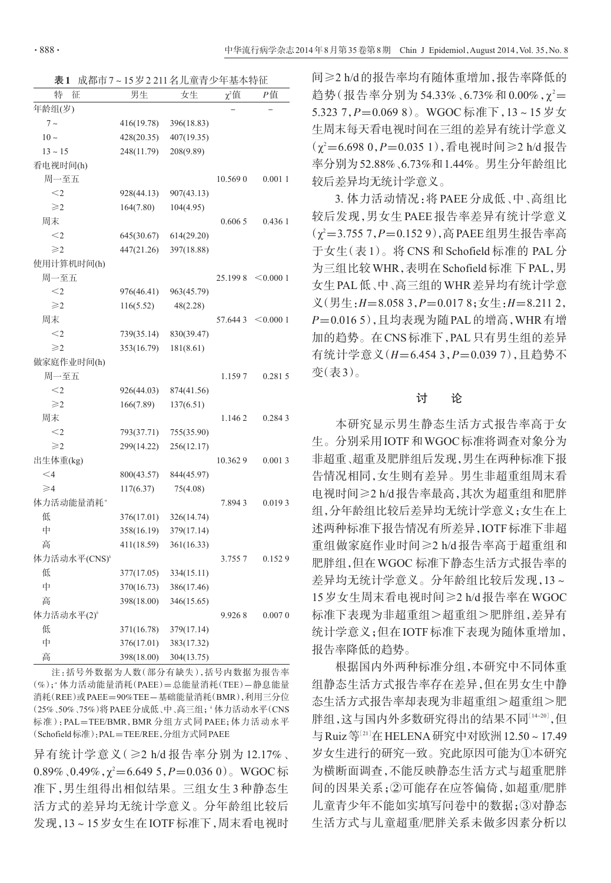表1 成都市7~15岁2 211名儿童青少年基本特征

| 特<br>征                   | 男生         | 女生         | $\chi^2$ 值 | P值       |
|--------------------------|------------|------------|------------|----------|
| 年龄组(岁)                   |            |            |            |          |
| $7\sim$                  | 416(19.78) | 396(18.83) |            |          |
| $10\sim$                 | 428(20.35) | 407(19.35) |            |          |
| $13 - 15$                | 248(11.79) | 208(9.89)  |            |          |
| 看电视时间(h)                 |            |            |            |          |
| 周一至五                     |            |            | 10.569 0   | 0.0011   |
| $<$ 2                    | 928(44.13) | 907(43.13) |            |          |
| $\geqslant$ 2            | 164(7.80)  | 104(4.95)  |            |          |
| 周末                       |            |            | 0.6065     | 0.436 1  |
| $<$ 2                    | 645(30.67) | 614(29.20) |            |          |
| $\geqslant$              | 447(21.26) | 397(18.88) |            |          |
| 使用计算机时间(h)               |            |            |            |          |
| 周一至五                     |            |            | 25.1998    | < 0.0001 |
| $<$ 2                    | 976(46.41) | 963(45.79) |            |          |
| $\geqslant$              | 116(5.52)  | 48(2.28)   |            |          |
| 周末                       |            |            | 57.6443    | < 0.0001 |
| $<$ 2                    | 739(35.14) | 830(39.47) |            |          |
| $\geqslant$              | 353(16.79) | 181(8.61)  |            |          |
| 做家庭作业时间(h)               |            |            |            |          |
| 周一至五                     |            |            | 1.1597     | 0.2815   |
| $<$ 2                    | 926(44.03) | 874(41.56) |            |          |
| $\geqslant$              | 166(7.89)  | 137(6.51)  |            |          |
| 周末                       |            |            | 1.1462     | 0.2843   |
| $<$ 2                    | 793(37.71) | 755(35.90) |            |          |
| $\geqslant$              | 299(14.22) | 256(12.17) |            |          |
| 出生体重(kg)                 |            |            | 10.3629    | 0.0013   |
| $<$ 4                    | 800(43.57) | 844(45.97) |            |          |
| $\geqslant$              | 117(6.37)  | 75(4.08)   |            |          |
| 体力活动能量消耗"                |            |            | 7.8943     | 0.0193   |
| 低                        | 376(17.01) | 326(14.74) |            |          |
| 中                        | 358(16.19) | 379(17.14) |            |          |
| 高                        | 411(18.59) | 361(16.33) |            |          |
| 体力活动水平(CNS) <sup>b</sup> |            |            | 3.7557     | 0.1529   |
| 低                        | 377(17.05) | 334(15.11) |            |          |
| 中                        | 370(16.73) | 386(17.46) |            |          |
| 高                        | 398(18.00) | 346(15.65) |            |          |
| 体力活动水平(2)                |            |            | 9.9268     | 0.0070   |
| 低                        | 371(16.78) | 379(17.14) |            |          |
| 中                        | 376(17.01) | 383(17.32) |            |          |
| 高                        | 398(18.00) | 304(13.75) |            |          |

注:括号外数据为人数(部分有缺失),括号内数据为报告率 (%); 体力活动能量消耗(PAEE)=总能量消耗(TEE)-静息能量 消耗(REE)或PAEE=90%TEE-基础能量消耗(BMR),利用三分位 (25%、50%、75%)将PAEE 分成低、中、高三组; 体力活动水平(CNS 标准):PAL=TEE/BMR,BMR 分组方式同 PAEE;体力活动水平 (Schofield标准):PAL=TEE/REE,分组方式同PAEE

异有统计学意义(≥2 h/d 报告率分别为 12.17%、 0.89%、0.49%, $\chi^2{=}$ 6.649 5,P ${=}$ 0.036 0)。WGOC 标 准下,男生组得出相似结果。三组女生 3 种静态生 活方式的差异均无统计学意义。分年龄组比较后 发现,13~15岁女生在IOTF标准下,周末看电视时

间≥2 h/d的报告率均有随体重增加,报告率降低的 趋势(报告率分别为 54.33%、6.73%和 0.00%, χ<sup>2</sup>= 5.323 7,P=0.069 8)。WGOC 标准下,13~15 岁女 生周末每天看电视时间在三组的差异有统计学意义  $(\chi^2=6.6980, P=0.0351)$ ,看电视时间≥2 h/d报告 率分别为52.88%、6.73%和1.44%。男生分年龄组比 较后差异均无统计学意义。

3. 体力活动情况:将 PAEE 分成低、中、高组比 较后发现,男女生 PAEE 报告率差异有统计学意义 (χ'=3.755 7,*P*=0.152 9),高 PAEE 组男生报告率高 于女生(表 1)。将 CNS 和 Schofield 标准的 PAL 分 为三组比较WHR,表明在Schofield标准 下PAL,男 女生PAL低、中、高三组的WHR差异均有统计学意  $\chi$ (男生: $H=8.0583$ , $P=0.0178$ ;女生: $H=8.2112$ , P=0.016 5),且均表现为随PAL的增高,WHR有增 加的趋势。在CNS标准下,PAL只有男生组的差异 有统计学意义(H=6.454 3,P=0.039 7),且趋势不 变(表3)。

#### 讨 论

本研究显示男生静态生活方式报告率高于女 生。分别采用IOTF和WGOC标准将调查对象分为 非超重、超重及肥胖组后发现,男生在两种标准下报 告情况相同,女生则有差异。男生非超重组周末看 电视时间≥2 h/d报告率最高,其次为超重组和肥胖 组,分年龄组比较后差异均无统计学意义;女生在上 述两种标准下报告情况有所差异,IOTF标准下非超 重组做家庭作业时间≥2 h/d 报告率高于超重组和 肥胖组,但在WGOC 标准下静态生活方式报告率的 差异均无统计学意义。分年龄组比较后发现,13~ 15岁女生周末看电视时间≥2 h/d报告率在WGOC 标准下表现为非超重组>超重组>肥胖组,差异有 统计学意义;但在IOTF标准下表现为随体重增加, 报告率降低的趋势。

根据国内外两种标准分组,本研究中不同体重 组静态生活方式报告率存在差异,但在男女生中静 态生活方式报告率却表现为非超重组>超重组>肥 胖组,这与国内外多数研究得出的结果不同[14-20],但 与Ruiz等[<sup>21</sup>] 在HELENA研究中对欧洲12.50~17.49 岁女生进行的研究一致。究此原因可能为①本研究 为横断面调查,不能反映静态生活方式与超重肥胖 间的因果关系;②可能存在应答偏倚,如超重/肥胖 儿童青少年不能如实填写问卷中的数据;③对静态 生活方式与儿童超重/肥胖关系未做多因素分析以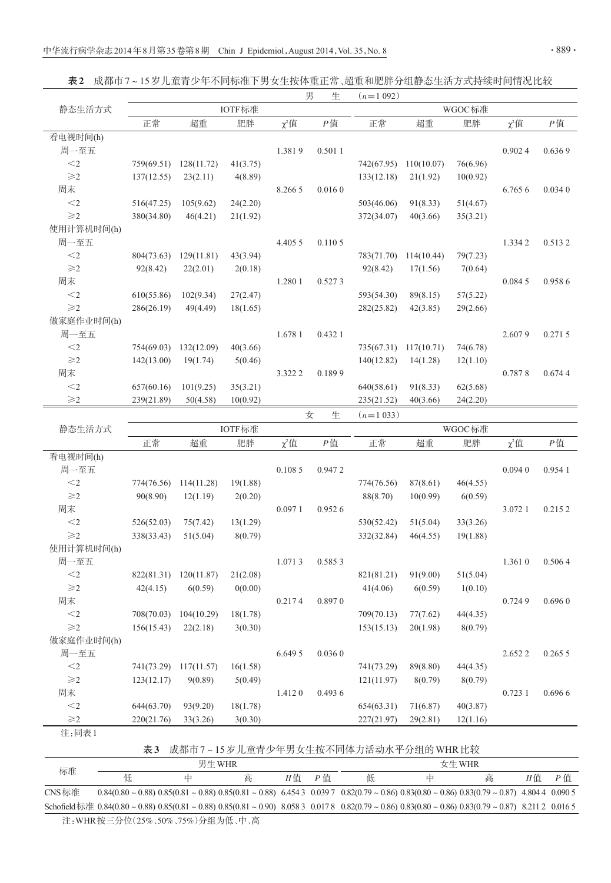表2 成都市7~15岁儿童青少年不同标准下男女生按体重正常、超重和肥胖分组静态生活方式持续时间情况比较

| IOTF标准<br>WGOC标准<br>静态生活方式<br>正常<br>超重<br>肥胖<br>$\chi^2$ 值<br>P值<br>正常<br>超重<br>肥胖<br>$\chi^2$ 值<br>P值<br>看电视时间(h)<br>周一至五<br>0.501 1<br>1.3819<br>0.9024<br>0.6369<br>$<\!\!2$<br>41(3.75)<br>76(6.96)<br>759(69.51)<br>128(11.72)<br>742(67.95) 110(10.07)<br>$\geqslant$ 2<br>137(12.55)<br>23(2.11)<br>4(8.89)<br>133(12.18)<br>21(1.92)<br>10(0.92)<br>周末<br>8.266 5<br>0.0160<br>6.765 6<br>0.0340<br>24(2.20)<br>51(4.67)<br>$<$ 2<br>105(9.62)<br>503(46.06)<br>91(8.33)<br>516(47.25)<br>$\geqslant$ 2<br>46(4.21)<br>380(34.80)<br>21(1.92)<br>372(34.07)<br>40(3.66)<br>35(3.21)<br>使用计算机时间(h)<br>周一至五<br>4.405 5<br>0.1105<br>1.3342<br>0.5132<br>$< \! 2$<br>43(3.94)<br>79(7.23)<br>804(73.63)<br>129(11.81)<br>783(71.70) 114(10.44)<br>$\geqslant$ 2<br>92(8.42)<br>22(2.01)<br>92(8.42)<br>2(0.18)<br>17(1.56)<br>7(0.64)<br>周末<br>0.9586<br>1.280 1<br>0.5273<br>0.0845<br>$<$ 2<br>610(55.86)<br>102(9.34)<br>27(2.47)<br>89(8.15)<br>57(5.22)<br>593(54.30)<br>$\geqslant$<br>286(26.19)<br>49(4.49)<br>18(1.65)<br>282(25.82)<br>42(3.85)<br>29(2.66)<br>做家庭作业时间(h)<br>周一至五<br>1.678 1<br>0.432 1<br>2.6079<br>0.2715<br>$< \! 2$<br>40(3.66)<br>74(6.78)<br>754(69.03)<br>132(12.09)<br>735(67.31)<br>117(10.71)<br>$\geqslant$ 2<br>142(13.00)<br>19(1.74)<br>5(0.46)<br>140(12.82)<br>14(1.28)<br>12(1.10)<br>周末<br>3.322 2<br>0.1899<br>0.7878<br>0.6744 |
|-----------------------------------------------------------------------------------------------------------------------------------------------------------------------------------------------------------------------------------------------------------------------------------------------------------------------------------------------------------------------------------------------------------------------------------------------------------------------------------------------------------------------------------------------------------------------------------------------------------------------------------------------------------------------------------------------------------------------------------------------------------------------------------------------------------------------------------------------------------------------------------------------------------------------------------------------------------------------------------------------------------------------------------------------------------------------------------------------------------------------------------------------------------------------------------------------------------------------------------------------------------------------------------------------------------------------------------------------------------------------------------|
|                                                                                                                                                                                                                                                                                                                                                                                                                                                                                                                                                                                                                                                                                                                                                                                                                                                                                                                                                                                                                                                                                                                                                                                                                                                                                                                                                                                   |
|                                                                                                                                                                                                                                                                                                                                                                                                                                                                                                                                                                                                                                                                                                                                                                                                                                                                                                                                                                                                                                                                                                                                                                                                                                                                                                                                                                                   |
|                                                                                                                                                                                                                                                                                                                                                                                                                                                                                                                                                                                                                                                                                                                                                                                                                                                                                                                                                                                                                                                                                                                                                                                                                                                                                                                                                                                   |
|                                                                                                                                                                                                                                                                                                                                                                                                                                                                                                                                                                                                                                                                                                                                                                                                                                                                                                                                                                                                                                                                                                                                                                                                                                                                                                                                                                                   |
|                                                                                                                                                                                                                                                                                                                                                                                                                                                                                                                                                                                                                                                                                                                                                                                                                                                                                                                                                                                                                                                                                                                                                                                                                                                                                                                                                                                   |
|                                                                                                                                                                                                                                                                                                                                                                                                                                                                                                                                                                                                                                                                                                                                                                                                                                                                                                                                                                                                                                                                                                                                                                                                                                                                                                                                                                                   |
|                                                                                                                                                                                                                                                                                                                                                                                                                                                                                                                                                                                                                                                                                                                                                                                                                                                                                                                                                                                                                                                                                                                                                                                                                                                                                                                                                                                   |
|                                                                                                                                                                                                                                                                                                                                                                                                                                                                                                                                                                                                                                                                                                                                                                                                                                                                                                                                                                                                                                                                                                                                                                                                                                                                                                                                                                                   |
|                                                                                                                                                                                                                                                                                                                                                                                                                                                                                                                                                                                                                                                                                                                                                                                                                                                                                                                                                                                                                                                                                                                                                                                                                                                                                                                                                                                   |
|                                                                                                                                                                                                                                                                                                                                                                                                                                                                                                                                                                                                                                                                                                                                                                                                                                                                                                                                                                                                                                                                                                                                                                                                                                                                                                                                                                                   |
|                                                                                                                                                                                                                                                                                                                                                                                                                                                                                                                                                                                                                                                                                                                                                                                                                                                                                                                                                                                                                                                                                                                                                                                                                                                                                                                                                                                   |
|                                                                                                                                                                                                                                                                                                                                                                                                                                                                                                                                                                                                                                                                                                                                                                                                                                                                                                                                                                                                                                                                                                                                                                                                                                                                                                                                                                                   |
|                                                                                                                                                                                                                                                                                                                                                                                                                                                                                                                                                                                                                                                                                                                                                                                                                                                                                                                                                                                                                                                                                                                                                                                                                                                                                                                                                                                   |
|                                                                                                                                                                                                                                                                                                                                                                                                                                                                                                                                                                                                                                                                                                                                                                                                                                                                                                                                                                                                                                                                                                                                                                                                                                                                                                                                                                                   |
|                                                                                                                                                                                                                                                                                                                                                                                                                                                                                                                                                                                                                                                                                                                                                                                                                                                                                                                                                                                                                                                                                                                                                                                                                                                                                                                                                                                   |
|                                                                                                                                                                                                                                                                                                                                                                                                                                                                                                                                                                                                                                                                                                                                                                                                                                                                                                                                                                                                                                                                                                                                                                                                                                                                                                                                                                                   |
|                                                                                                                                                                                                                                                                                                                                                                                                                                                                                                                                                                                                                                                                                                                                                                                                                                                                                                                                                                                                                                                                                                                                                                                                                                                                                                                                                                                   |
|                                                                                                                                                                                                                                                                                                                                                                                                                                                                                                                                                                                                                                                                                                                                                                                                                                                                                                                                                                                                                                                                                                                                                                                                                                                                                                                                                                                   |
|                                                                                                                                                                                                                                                                                                                                                                                                                                                                                                                                                                                                                                                                                                                                                                                                                                                                                                                                                                                                                                                                                                                                                                                                                                                                                                                                                                                   |
|                                                                                                                                                                                                                                                                                                                                                                                                                                                                                                                                                                                                                                                                                                                                                                                                                                                                                                                                                                                                                                                                                                                                                                                                                                                                                                                                                                                   |
|                                                                                                                                                                                                                                                                                                                                                                                                                                                                                                                                                                                                                                                                                                                                                                                                                                                                                                                                                                                                                                                                                                                                                                                                                                                                                                                                                                                   |
|                                                                                                                                                                                                                                                                                                                                                                                                                                                                                                                                                                                                                                                                                                                                                                                                                                                                                                                                                                                                                                                                                                                                                                                                                                                                                                                                                                                   |
| $< \! 2$<br>35(3.21)<br>62(5.68)<br>657(60.16)<br>101(9.25)<br>640(58.61)<br>91(8.33)                                                                                                                                                                                                                                                                                                                                                                                                                                                                                                                                                                                                                                                                                                                                                                                                                                                                                                                                                                                                                                                                                                                                                                                                                                                                                             |
| $\geqslant$ 2<br>239(21.89)<br>50(4.58)<br>10(0.92)<br>235(21.52)<br>24(2.20)<br>40(3.66)                                                                                                                                                                                                                                                                                                                                                                                                                                                                                                                                                                                                                                                                                                                                                                                                                                                                                                                                                                                                                                                                                                                                                                                                                                                                                         |
| $(n=1033)$<br>女<br>生                                                                                                                                                                                                                                                                                                                                                                                                                                                                                                                                                                                                                                                                                                                                                                                                                                                                                                                                                                                                                                                                                                                                                                                                                                                                                                                                                              |
| IOTF标准<br>WGOC标准<br>静态生活方式                                                                                                                                                                                                                                                                                                                                                                                                                                                                                                                                                                                                                                                                                                                                                                                                                                                                                                                                                                                                                                                                                                                                                                                                                                                                                                                                                        |
| 肥胖<br>$\chi^2$ 值<br>P值<br>正常<br>肥胖<br>$\chi^2$ 值<br>P值<br>正常<br>超重<br>超重                                                                                                                                                                                                                                                                                                                                                                                                                                                                                                                                                                                                                                                                                                                                                                                                                                                                                                                                                                                                                                                                                                                                                                                                                                                                                                          |
| 看电视时间(h)                                                                                                                                                                                                                                                                                                                                                                                                                                                                                                                                                                                                                                                                                                                                                                                                                                                                                                                                                                                                                                                                                                                                                                                                                                                                                                                                                                          |
| 周一至五<br>0.1085<br>0.0940<br>0.9472<br>0.9541                                                                                                                                                                                                                                                                                                                                                                                                                                                                                                                                                                                                                                                                                                                                                                                                                                                                                                                                                                                                                                                                                                                                                                                                                                                                                                                                      |
| $<$ 2<br>19(1.88)<br>774(76.56)<br>114(11.28)<br>774(76.56)<br>87(8.61)<br>46(4.55)                                                                                                                                                                                                                                                                                                                                                                                                                                                                                                                                                                                                                                                                                                                                                                                                                                                                                                                                                                                                                                                                                                                                                                                                                                                                                               |
| $\geqslant$ 2<br>90(8.90)<br>12(1.19)<br>2(0.20)<br>88(8.70)<br>10(0.99)<br>6(0.59)                                                                                                                                                                                                                                                                                                                                                                                                                                                                                                                                                                                                                                                                                                                                                                                                                                                                                                                                                                                                                                                                                                                                                                                                                                                                                               |
| 周末<br>0.0971<br>0.9526<br>3.072 1<br>0.2152                                                                                                                                                                                                                                                                                                                                                                                                                                                                                                                                                                                                                                                                                                                                                                                                                                                                                                                                                                                                                                                                                                                                                                                                                                                                                                                                       |
| $<$ 2<br>526(52.03)<br>75(7.42)<br>13(1.29)<br>530(52.42)<br>33(3.26)<br>51(5.04)                                                                                                                                                                                                                                                                                                                                                                                                                                                                                                                                                                                                                                                                                                                                                                                                                                                                                                                                                                                                                                                                                                                                                                                                                                                                                                 |
| $\geqslant$ 2<br>338(33.43)<br>51(5.04)<br>8(0.79)<br>332(32.84)<br>46(4.55)<br>19(1.88)                                                                                                                                                                                                                                                                                                                                                                                                                                                                                                                                                                                                                                                                                                                                                                                                                                                                                                                                                                                                                                                                                                                                                                                                                                                                                          |
| 使用计算机时间(h)                                                                                                                                                                                                                                                                                                                                                                                                                                                                                                                                                                                                                                                                                                                                                                                                                                                                                                                                                                                                                                                                                                                                                                                                                                                                                                                                                                        |
| 周一至五<br>1.0713<br>0.5853<br>1.3610<br>0.5064                                                                                                                                                                                                                                                                                                                                                                                                                                                                                                                                                                                                                                                                                                                                                                                                                                                                                                                                                                                                                                                                                                                                                                                                                                                                                                                                      |
| $<$ $\!2$<br>822(81.31) 120(11.87)<br>21(2.08)<br>821(81.21)<br>91(9.00)<br>51(5.04)                                                                                                                                                                                                                                                                                                                                                                                                                                                                                                                                                                                                                                                                                                                                                                                                                                                                                                                                                                                                                                                                                                                                                                                                                                                                                              |
| 42(4.15)<br>6(0.59)<br>0(0.00)<br>41(4.06)<br>6(0.59)<br>1(0.10)<br>$\geqslant$                                                                                                                                                                                                                                                                                                                                                                                                                                                                                                                                                                                                                                                                                                                                                                                                                                                                                                                                                                                                                                                                                                                                                                                                                                                                                                   |
| 周末<br>0.8970<br>0.2174<br>0.7249<br>0.6960                                                                                                                                                                                                                                                                                                                                                                                                                                                                                                                                                                                                                                                                                                                                                                                                                                                                                                                                                                                                                                                                                                                                                                                                                                                                                                                                        |
| $<$ 2<br>708(70.03)<br>104(10.29)<br>18(1.78)<br>709(70.13)<br>77(7.62)<br>44(4.35)                                                                                                                                                                                                                                                                                                                                                                                                                                                                                                                                                                                                                                                                                                                                                                                                                                                                                                                                                                                                                                                                                                                                                                                                                                                                                               |
| $\geqslant$ 2<br>156(15.43)<br>22(2.18)<br>3(0.30)<br>153(15.13)<br>20(1.98)<br>8(0.79)                                                                                                                                                                                                                                                                                                                                                                                                                                                                                                                                                                                                                                                                                                                                                                                                                                                                                                                                                                                                                                                                                                                                                                                                                                                                                           |
| 做家庭作业时间(h)                                                                                                                                                                                                                                                                                                                                                                                                                                                                                                                                                                                                                                                                                                                                                                                                                                                                                                                                                                                                                                                                                                                                                                                                                                                                                                                                                                        |
| 周一至五<br>6.649 5<br>0.0360<br>2.6522<br>0.2655                                                                                                                                                                                                                                                                                                                                                                                                                                                                                                                                                                                                                                                                                                                                                                                                                                                                                                                                                                                                                                                                                                                                                                                                                                                                                                                                     |
| $< \! \! 2$<br>741(73.29)<br>117(11.57)<br>16(1.58)<br>89(8.80)<br>741(73.29)<br>44(4.35)                                                                                                                                                                                                                                                                                                                                                                                                                                                                                                                                                                                                                                                                                                                                                                                                                                                                                                                                                                                                                                                                                                                                                                                                                                                                                         |
| $\geqslant$ 2<br>123(12.17)<br>9(0.89)<br>5(0.49)<br>8(0.79)<br>8(0.79)<br>121(11.97)                                                                                                                                                                                                                                                                                                                                                                                                                                                                                                                                                                                                                                                                                                                                                                                                                                                                                                                                                                                                                                                                                                                                                                                                                                                                                             |
| 周末<br>1.4120<br>0.4936<br>0.723 1<br>0.6966                                                                                                                                                                                                                                                                                                                                                                                                                                                                                                                                                                                                                                                                                                                                                                                                                                                                                                                                                                                                                                                                                                                                                                                                                                                                                                                                       |
| $<$ 2<br>644(63.70)<br>93(9.20)<br>18(1.78)<br>654(63.31)<br>71(6.87)<br>40(3.87)                                                                                                                                                                                                                                                                                                                                                                                                                                                                                                                                                                                                                                                                                                                                                                                                                                                                                                                                                                                                                                                                                                                                                                                                                                                                                                 |
| $\geqslant$<br>3(0.30)<br>227(21.97)<br>220(21.76)<br>33(3.26)<br>29(2.81)<br>12(1.16)                                                                                                                                                                                                                                                                                                                                                                                                                                                                                                                                                                                                                                                                                                                                                                                                                                                                                                                                                                                                                                                                                                                                                                                                                                                                                            |
| 注:同表1                                                                                                                                                                                                                                                                                                                                                                                                                                                                                                                                                                                                                                                                                                                                                                                                                                                                                                                                                                                                                                                                                                                                                                                                                                                                                                                                                                             |

|  |  |  | <b>表3</b> 成都市7~15岁儿童青少年男女生按不同体力活动水平分组的WHR比较 |  |
|--|--|--|---------------------------------------------|--|
|--|--|--|---------------------------------------------|--|

| 标准     | 男生 WHR |                                |   |     | $\pm\pm$ WHR |   |                                                                                                                                                                             |   |    |    |
|--------|--------|--------------------------------|---|-----|--------------|---|-----------------------------------------------------------------------------------------------------------------------------------------------------------------------------|---|----|----|
|        | 低      | 巾                              | 高 | H 值 | P佰           | 低 | 口                                                                                                                                                                           | 咼 | H佰 | P信 |
| CNS 标准 |        |                                |   |     |              |   | $0.84(0.80 \sim 0.88)$ $0.85(0.81 \sim 0.88)$ $0.85(0.81 \sim 0.88)$ $6.4543$ $0.0397$ $0.82(0.79 \sim 0.86)$ $0.83(0.80 \sim 0.86)$ $0.83(0.79 \sim 0.87)$ 4.8044 $0.0905$ |   |    |    |
|        |        |                                |   |     |              |   | Schofield标准 0.84(0.80 ~ 0.88) 0.85(0.81 ~ 0.88) 0.85(0.81 ~ 0.90) 8.058 3 0.017 8 0.82(0.79 ~ 0.86) 0.83(0.80 ~ 0.86) 0.83(0.79 ~ 0.87) 8.211 2 0.016 5                     |   |    |    |
|        |        | 注:WHR按三分位(25%、50%、75%)分组为低、中、高 |   |     |              |   |                                                                                                                                                                             |   |    |    |